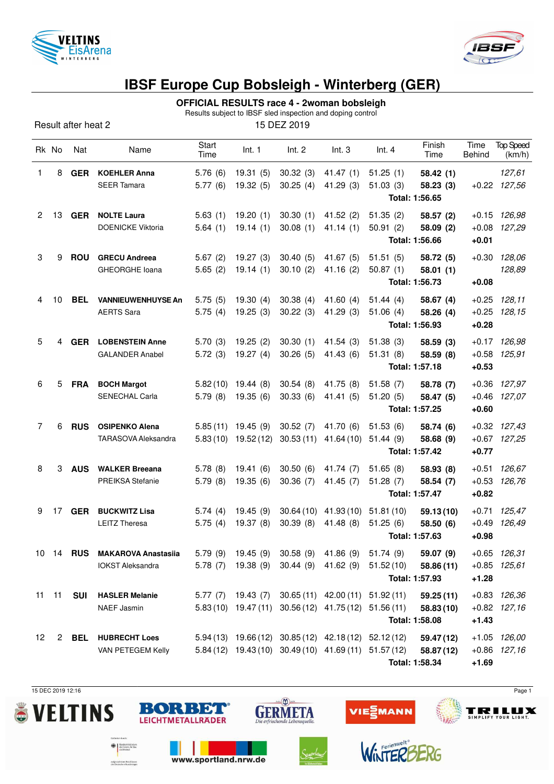



## **IBSF Europe Cup Bobsleigh - Winterberg (GER)**

## **OFFICIAL RESULTS race 4 - 2woman bobsleigh**

Results subject to IBSF sled inspection and doping control

Result after heat 2 15 DEZ 2019

|              | Rk No         | Nat        | Name                          | Start<br>Time | Int. 1               | Int. 2    | Int.3                                                          | Int.4                                               | Finish<br>Time | Time<br>Behind | <b>Top Speed</b><br>(km/h) |
|--------------|---------------|------------|-------------------------------|---------------|----------------------|-----------|----------------------------------------------------------------|-----------------------------------------------------|----------------|----------------|----------------------------|
| 1            | 8             | <b>GER</b> | <b>KOEHLER Anna</b>           | 5.76(6)       | 19.31(5)             | 30.32(3)  | 41.47(1)                                                       | 51.25(1)                                            | 58.42(1)       |                | 127,61                     |
|              |               |            | <b>SEER Tamara</b>            | 5.77(6)       | 19.32(5)             | 30.25(4)  | 41.29(3)                                                       | 51.03(3)                                            | 58.23(3)       |                | $+0.22$ $127,56$           |
|              |               |            |                               |               |                      |           |                                                                | Total: 1:56.65                                      |                |                |                            |
| $\mathbf{2}$ |               | 13 GER     | <b>NOLTE Laura</b>            | 5.63(1)       | 19.20(1)             | 30.30(1)  | 41.52(2)                                                       | 51.35(2)                                            | 58.57 (2)      | $+0.15$        | 126,98                     |
|              |               |            | <b>DOENICKE Viktoria</b>      | 5.64(1)       | 19.14(1)             | 30.08(1)  | 41.14(1)                                                       | 50.91(2)                                            | 58.09 (2)      | $+0.08$        | 127,29                     |
|              |               |            |                               |               |                      |           |                                                                | Total: 1:56.66                                      |                | $+0.01$        |                            |
| 3            | 9             | <b>ROU</b> | <b>GRECU Andreea</b>          | 5.67(2)       | 19.27(3)             | 30.40(5)  | 41.67(5)                                                       | 51.51(5)                                            | 58.72 (5)      | $+0.30$        | 128,06                     |
|              |               |            | <b>GHEORGHE loana</b>         | 5.65(2)       | 19.14(1)             | 30.10(2)  | 41.16 (2)                                                      | 50.87(1)                                            | 58.01(1)       |                | 128,89                     |
|              |               |            |                               |               |                      |           |                                                                | Total: 1:56.73                                      |                | $+0.08$        |                            |
| 4            | 10            | <b>BEL</b> | <b>VANNIEUWENHUYSE An</b>     | 5.75(5)       | 19.30(4)             | 30.38(4)  | 41.60 $(4)$                                                    | 51.44(4)                                            | 58.67(4)       | $+0.25$        | 128,11                     |
|              |               |            | <b>AERTS Sara</b>             | 5.75(4)       | 19.25(3)             | 30.22(3)  | 41.29(3)                                                       | 51.06(4)                                            | 58.26 (4)      | $+0.25$        | 128,15                     |
|              |               |            |                               |               |                      |           |                                                                | Total: 1:56.93                                      | $+0.28$        |                |                            |
| 5            | 4             | <b>GER</b> | <b>LOBENSTEIN Anne</b>        | 5.70(3)       | 19.25(2)             | 30.30(1)  | 41.54(3)                                                       | 51.38(3)                                            | 58.59(3)       |                | $+0.17$ 126,98             |
|              |               |            | <b>GALANDER Anabel</b>        | 5.72(3)       | 19.27(4)             | 30.26(5)  | 41.43 (6)                                                      | 51.31(8)                                            | 58.59 (8)      | $+0.58$        | 125,91                     |
|              |               |            |                               |               |                      |           |                                                                | Total: 1:57.18                                      | $+0.53$        |                |                            |
| 6            | 5             | <b>FRA</b> | <b>BOCH Margot</b>            | 5.82(10)      | 19.44 (8)            | 30.54(8)  | 41.75 (8)                                                      | 51.58(7)                                            | 58.78 (7)      | $+0.36$        | 127,97                     |
|              |               |            | SENECHAL Carla                | 5.79(8)       | 19.35(6)             | 30.33(6)  | 41.41 (5)                                                      | 51.20(5)                                            | 58.47 (5)      | $+0.46$        | 127,07                     |
|              |               |            |                               |               |                      |           |                                                                | Total: 1:57.25                                      |                | $+0.60$        |                            |
| 7            | 6             | <b>RUS</b> | <b>OSIPENKO Alena</b>         | 5.85(11)      | 19.45(9)             | 30.52(7)  | 41.70 (6)                                                      | 51.53(6)                                            | 58.74 (6)      |                | $+0.32$ $127,43$           |
|              |               |            | <b>TARASOVA Aleksandra</b>    |               | $5.83(10)$ 19.52(12) | 30.53(11) | 41.64 (10)                                                     | 51.44(9)                                            | 58.68 (9)      |                | $+0.67$ 127,25             |
|              |               |            |                               |               |                      |           |                                                                | Total: 1:57.42                                      |                | $+0.77$        |                            |
| 8            | 3             | <b>AUS</b> | <b>WALKER Breeana</b>         | 5.78(8)       | 19.41(6)             | 30.50(6)  | 41.74 (7)                                                      | 51.65(8)                                            | 58.93 (8)      | $+0.51$        | 126,67                     |
|              |               |            | PREIKSA Stefanie              | 5.79(8)       | 19.35(6)             | 30.36(7)  | 41.45 (7)                                                      | 51.28(7)                                            | 58.54 (7)      | $+0.53$        | 126,76                     |
|              |               |            |                               |               |                      |           |                                                                | Total: 1:57.47                                      |                | $+0.82$        |                            |
| 9            | 17            | <b>GER</b> | <b>BUCKWITZ Lisa</b>          | 5.74(4)       | 19.45(9)             | 30.64(10) | 41.93(10)                                                      | 51.81(10)                                           | 59.13(10)      | $+0.71$        | 125,47                     |
|              |               |            | <b>LEITZ Theresa</b>          | 5.75(4)       | 19.37(8)             | 30.39(8)  | 41.48(8)                                                       | 51.25(6)                                            | 58.50 (6)      | $+0.49$        | 126,49                     |
|              |               |            |                               |               |                      |           |                                                                | Total: 1:57.63                                      |                | $+0.98$        |                            |
|              |               |            | 10 14 RUS MAKAROVA Anastasiia |               |                      |           | 5.79 (9) 19.45 (9) 30.58 (9) 41.86 (9) 51.74 (9)               |                                                     | 59.07 (9)      |                | $+0.65$ 126,31             |
|              |               |            | <b>IOKST Aleksandra</b>       |               |                      |           | 5.78 (7) 19.38 (9) 30.44 (9) 41.62 (9) 51.52 (10)              |                                                     | 58.86 (11)     |                | $+0.85$ 125,61             |
|              |               |            |                               |               |                      |           |                                                                | Total: 1:57.93                                      |                | $+1.28$        |                            |
|              | $11 \quad 11$ | <b>SUI</b> | <b>HASLER Melanie</b>         |               |                      |           |                                                                | 5.77 (7) 19.43 (7) 30.65 (11) 42.00 (11) 51.92 (11) | 59.25(11)      |                | $+0.83$ $126,36$           |
|              |               |            | NAEF Jasmin                   |               |                      |           | 5.83 (10) 19.47 (11) 30.56 (12) 41.75 (12) 51.56 (11)          |                                                     | 58.83 (10)     |                | $+0.82$ 127,16             |
|              |               |            |                               |               |                      |           |                                                                | Total: 1:58.08                                      |                | $+1.43$        |                            |
| 12           |               |            | 2 BEL HUBRECHT Loes           |               |                      |           | $5.94(13)$ 19.66 $(12)$ 30.85 $(12)$ 42.18 $(12)$ 52.12 $(12)$ |                                                     | 59.47 (12)     |                | $+1.05$ $126,00$           |
|              |               |            | VAN PETEGEM Kelly             |               |                      |           | 5.84 (12) 19.43 (10) 30.49 (10) 41.69 (11) 51.57 (12)          |                                                     | 58.87 (12)     |                | $+0.86$ 127,16             |
|              |               |            |                               |               |                      |           |                                                                | Total: 1:58.34                                      |                | $+1.69$        |                            |

15 DEC 2019 12:16 Page 1





www.sportland.nrw.de

BORBET

 $\bigoplus \left[ \begin{array}{c} \text{Subcomistorian} \\ \text{disInner, fic Bau} \\ \text{ord Heinat} \end{array} \right]$ 

aufgrund eines Beschlusses<br>des Deutschen Bundestages